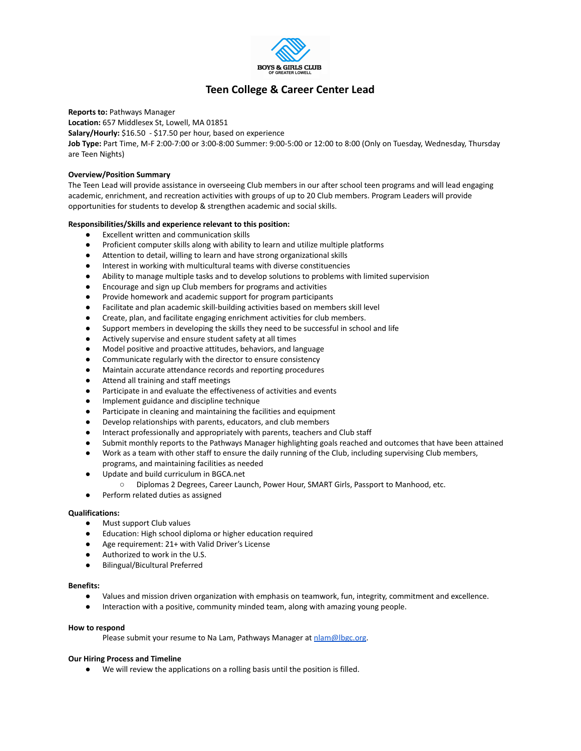

# **Teen College & Career Center Lead**

**Reports to:** Pathways Manager

**Location:** 657 Middlesex St, Lowell, MA 01851

**Salary/Hourly:** \$16.50 - \$17.50 per hour, based on experience

**Job Type:** Part Time, M-F 2:00-7:00 or 3:00-8:00 Summer: 9:00-5:00 or 12:00 to 8:00 (Only on Tuesday, Wednesday, Thursday are Teen Nights)

# **Overview/Position Summary**

The Teen Lead will provide assistance in overseeing Club members in our after school teen programs and will lead engaging academic, enrichment, and recreation activities with groups of up to 20 Club members. Program Leaders will provide opportunities for students to develop & strengthen academic and social skills.

# **Responsibilities/Skills and experience relevant to this position:**

- **●** Excellent written and communication skills
- Proficient computer skills along with ability to learn and utilize multiple platforms
- Attention to detail, willing to learn and have strong organizational skills
- Interest in working with multicultural teams with diverse constituencies
- Ability to manage multiple tasks and to develop solutions to problems with limited supervision
- Encourage and sign up Club members for programs and activities
- Provide homework and academic support for program participants
- Facilitate and plan academic skill-building activities based on members skill level
- Create, plan, and facilitate engaging enrichment activities for club members.
- Support members in developing the skills they need to be successful in school and life
- Actively supervise and ensure student safety at all times
- Model positive and proactive attitudes, behaviors, and language
- Communicate regularly with the director to ensure consistency
- Maintain accurate attendance records and reporting procedures
- Attend all training and staff meetings
- Participate in and evaluate the effectiveness of activities and events
- Implement guidance and discipline technique
- Participate in cleaning and maintaining the facilities and equipment
- Develop relationships with parents, educators, and club members
- Interact professionally and appropriately with parents, teachers and Club staff
- Submit monthly reports to the Pathways Manager highlighting goals reached and outcomes that have been attained
- Work as a team with other staff to ensure the daily running of the Club, including supervising Club members, programs, and maintaining facilities as needed
- Update and build curriculum in BGCA.net
	- Diplomas 2 Degrees, Career Launch, Power Hour, SMART Girls, Passport to Manhood, etc.
- Perform related duties as assigned

## **Qualifications:**

- Must support Club values
- Education: High school diploma or higher education required
- Age requirement: 21+ with Valid Driver's License
- Authorized to work in the U.S.
- Bilingual/Bicultural Preferred

#### **Benefits:**

- Values and mission driven organization with emphasis on teamwork, fun, integrity, commitment and excellence.
- Interaction with a positive, community minded team, along with amazing young people.

## **How to respond**

Please submit your resume to Na Lam, Pathways Manager at [nlam@lbgc.org](mailto:nlam@lbgc.org).

## **Our Hiring Process and Timeline**

We will review the applications on a rolling basis until the position is filled.